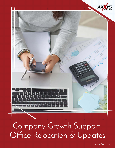

Company Growth Support: Office Relocation & Updates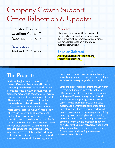# Company Growth Support: Office Relocation & Updates

**Industry:** Financial **Location:** Plano, TX **Date:** May 10, 2016

#### **Description**

**Relationship:** 2013 – present

#### **Problem**

Client was outgrowing their current office space and needed a plan for transitioning their infrastructure, employees and business to a new, larger location without any business disruptions.

#### **Solution Selected**

Axxys Consulting and Planning and Project Management.

## **The Project:**

Realizing that they were outgrowing their current office, one of our financial industry clients, requested Axxys' assistance in planning a complete office move. With seven months before the move would happen, Axxys was able to provide the client with a complete checklist of business and technology considerations that would need to be addressed as they selected a new office location. Once the office was space was secured, Axxys worked closely with the client, new building management and the office construction/design teams to ensure that every consideration for the client's business and technology needs were addressed and managed properly. Key to the design of the office was the support of the client's infrastructure, so careful detail had to be paid to the setup of their on-premise server room to ensure that space, ventilation/cooling, ample

power/correct power connectors and physical security implemented properly for supporting a seamless technology upgrade and transition.

Since the client was experiencing growth within its team, additional connectivity for the new office would have to be addressed which meant adding new Cisco switching and additional APC battery backup alongside the current servers, switches, router, firewall and voice system. Additionally, upon completion of the new office space build out, Axxys performed a wireless assessment of the new space providing heat map of optimal wireless AP positioning and units needed to deliver complete wireless coverage for the client's production network, as well as for their guest network. An additional 23 phones and two conference room phones for employees and meeting spaces were secured from Allworx.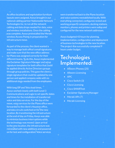As office locations and workstation furniture layouts were assigned, Axxys brought in our national cabling partner Nationwide Network Technologies Inc. to run all the network cabling and data drops needed for data, voice and wireless installations. Once the cabling was complete, Axxys preinstalled the Meraki wireless Access Points in preparation for infrastructure move.

As part of the process, the client wanted a way to manage both office's email signatures and make sure that the new office address for Plano was assigned correctly for their different teams. To do this, Axxys implemented the Exclaimer Signature Manager and setup signature templates for both office that could be applied directly Active Directory groups through group policies. This gave the client a single signature that could be updated by one person and applied company wide with no additional steps needed from the employees.

With long ISP and Telco lead times, Axxys worked closely with both Level 3 Communications and Logix to set specific dates and times for the installation of transferred voice and data services. For the day of the move, voice services for the Plano office were forwarded to the client's Houston office, and data circuits switched on for the new location. By transitioning the infrastructure at the end of day on Friday, Axxys was able to minimize business interruptions while the technology was moved. Upon arrival to the new location, the infrastructure was reinstalled with new additions and powered on for test and configuration. Voice services

were transferred back to the Plano location and voice systems reestablished locally. With everything connected, configured, tested and working properly computers, docking stations, monitors, phones and printers were setup and configured for the new network addresses.

Axxys budgeted 43 hours for planning, implementation, configuration and deployment of business technologies to the new location. The project was successfully completed 9 hours under budget.

### **Technologies Implemented:**

- Allworx Phones (25)
- Allworx Licensing
- APC
- Cisco Switch (3)
- Cisco Licensing
- Cisco SMARTnet
- Exclaimer Signature Manager
- Meraki APs (7)
- **Meraki Licensing**